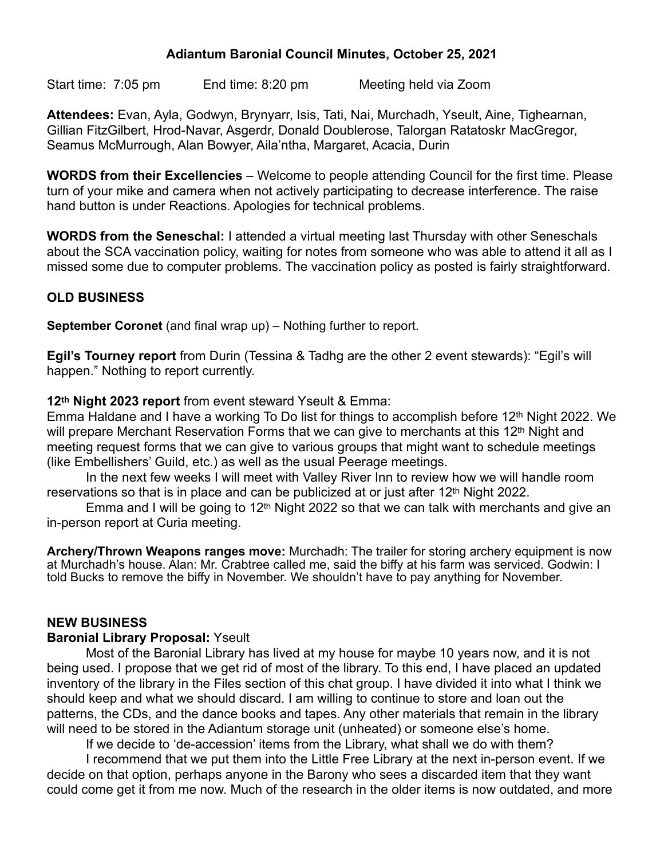### **Adiantum Baronial Council Minutes, October 25, 2021**

Start time: 7:05 pm End time: 8:20 pm Meeting held via Zoom

**Attendees:** Evan, Ayla, Godwyn, Brynyarr, Isis, Tati, Nai, Murchadh, Yseult, Aine, Tighearnan, Gillian FitzGilbert, Hrod-Navar, Asgerdr, Donald Doublerose, Talorgan Ratatoskr MacGregor, Seamus McMurrough, Alan Bowyer, Aila'ntha, Margaret, Acacia, Durin

**WORDS from their Excellencies** – Welcome to people attending Council for the first time. Please turn of your mike and camera when not actively participating to decrease interference. The raise hand button is under Reactions. Apologies for technical problems.

**WORDS from the Seneschal:** I attended a virtual meeting last Thursday with other Seneschals about the SCA vaccination policy, waiting for notes from someone who was able to attend it all as I missed some due to computer problems. The vaccination policy as posted is fairly straightforward.

### **OLD BUSINESS**

**September Coronet** (and final wrap up) – Nothing further to report.

**Egil's Tourney report** from Durin (Tessina & Tadhg are the other 2 event stewards): "Egil's will happen." Nothing to report currently.

**12th Night 2023 report** from event steward Yseult & Emma:

Emma Haldane and I have a working To Do list for things to accomplish before 12<sup>th</sup> Night 2022. We will prepare Merchant Reservation Forms that we can give to merchants at this 12<sup>th</sup> Night and meeting request forms that we can give to various groups that might want to schedule meetings (like Embellishers' Guild, etc.) as well as the usual Peerage meetings.

In the next few weeks I will meet with Valley River Inn to review how we will handle room reservations so that is in place and can be publicized at or just after 12<sup>th</sup> Night 2022.

Emma and I will be going to  $12<sup>th</sup>$  Night 2022 so that we can talk with merchants and give an in-person report at Curia meeting.

**Archery/Thrown Weapons ranges move:** Murchadh: The trailer for storing archery equipment is now at Murchadh's house. Alan: Mr. Crabtree called me, said the biffy at his farm was serviced. Godwin: I told Bucks to remove the biffy in November. We shouldn't have to pay anything for November.

#### **NEW BUSINESS**

#### **Baronial Library Proposal:** Yseult

Most of the Baronial Library has lived at my house for maybe 10 years now, and it is not being used. I propose that we get rid of most of the library. To this end, I have placed an updated inventory of the library in the Files section of this chat group. I have divided it into what I think we should keep and what we should discard. I am willing to continue to store and loan out the patterns, the CDs, and the dance books and tapes. Any other materials that remain in the library will need to be stored in the Adiantum storage unit (unheated) or someone else's home.

If we decide to 'de-accession' items from the Library, what shall we do with them?

I recommend that we put them into the Little Free Library at the next in-person event. If we decide on that option, perhaps anyone in the Barony who sees a discarded item that they want could come get it from me now. Much of the research in the older items is now outdated, and more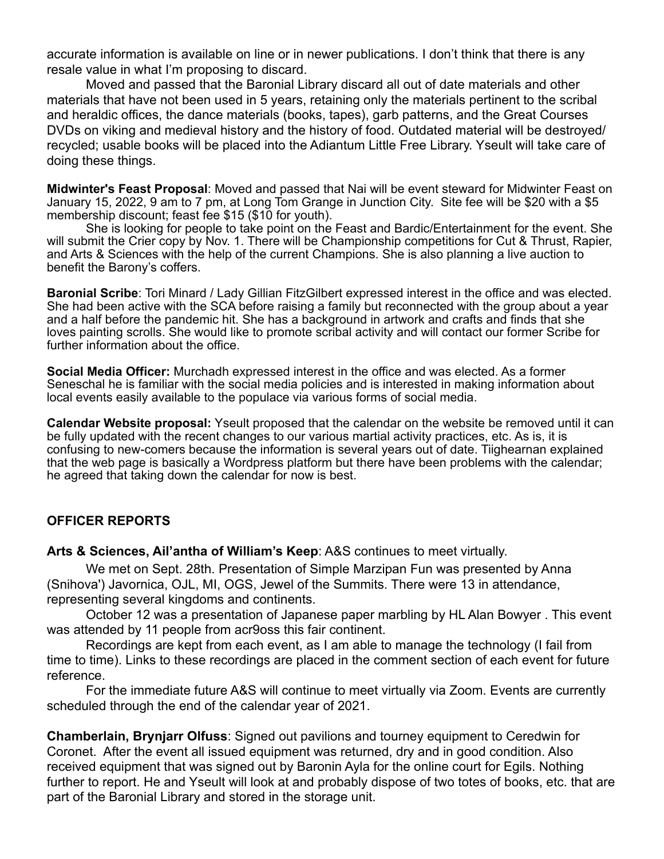accurate information is available on line or in newer publications. I don't think that there is any resale value in what I'm proposing to discard.

Moved and passed that the Baronial Library discard all out of date materials and other materials that have not been used in 5 years, retaining only the materials pertinent to the scribal and heraldic offices, the dance materials (books, tapes), garb patterns, and the Great Courses DVDs on viking and medieval history and the history of food. Outdated material will be destroyed/ recycled; usable books will be placed into the Adiantum Little Free Library. Yseult will take care of doing these things.

**Midwinter's Feast Proposal**: Moved and passed that Nai will be event steward for Midwinter Feast on January 15, 2022, 9 am to 7 pm, at Long Tom Grange in Junction City. Site fee will be \$20 with a \$5 membership discount; feast fee \$15 (\$10 for youth).

She is looking for people to take point on the Feast and Bardic/Entertainment for the event. She will submit the Crier copy by Nov. 1. There will be Championship competitions for Cut & Thrust, Rapier, and Arts & Sciences with the help of the current Champions. She is also planning a live auction to benefit the Barony's coffers.

**Baronial Scribe**: Tori Minard / Lady Gillian FitzGilbert expressed interest in the office and was elected. She had been active with the SCA before raising a family but reconnected with the group about a year and a half before the pandemic hit. She has a background in artwork and crafts and finds that she loves painting scrolls. She would like to promote scribal activity and will contact our former Scribe for further information about the office.

**Social Media Officer:** Murchadh expressed interest in the office and was elected. As a former Seneschal he is familiar with the social media policies and is interested in making information about local events easily available to the populace via various forms of social media.

**Calendar Website proposal:** Yseult proposed that the calendar on the website be removed until it can be fully updated with the recent changes to our various martial activity practices, etc. As is, it is confusing to new-comers because the information is several years out of date. Tiighearnan explained that the web page is basically a Wordpress platform but there have been problems with the calendar; he agreed that taking down the calendar for now is best.

#### **OFFICER REPORTS**

**Arts & Sciences, Ail'antha of William's Keep**: A&S continues to meet virtually.

We met on Sept. 28th. Presentation of Simple Marzipan Fun was presented by Anna (Snihova') Javornica, OJL, MI, OGS, Jewel of the Summits. There were 13 in attendance, representing several kingdoms and continents.

October 12 was a presentation of Japanese paper marbling by HL Alan Bowyer . This event was attended by 11 people from acr9oss this fair continent.

Recordings are kept from each event, as I am able to manage the technology (I fail from time to time). Links to these recordings are placed in the comment section of each event for future reference.

For the immediate future A&S will continue to meet virtually via Zoom. Events are currently scheduled through the end of the calendar year of 2021.

**Chamberlain, Brynjarr Olfuss**: Signed out pavilions and tourney equipment to Ceredwin for Coronet. After the event all issued equipment was returned, dry and in good condition. Also received equipment that was signed out by Baronin Ayla for the online court for Egils. Nothing further to report. He and Yseult will look at and probably dispose of two totes of books, etc. that are part of the Baronial Library and stored in the storage unit.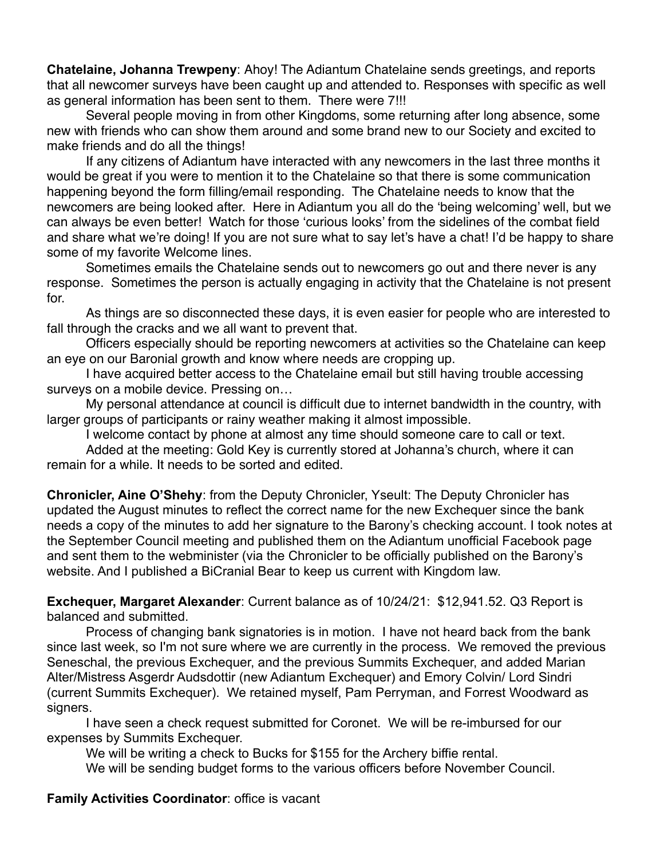**Chatelaine, Johanna Trewpeny**: Ahoy! The Adiantum Chatelaine sends greetings, and reports that all newcomer surveys have been caught up and attended to. Responses with specific as well as general information has been sent to them. There were 7!!!

Several people moving in from other Kingdoms, some returning after long absence, some new with friends who can show them around and some brand new to our Society and excited to make friends and do all the things!

If any citizens of Adiantum have interacted with any newcomers in the last three months it would be great if you were to mention it to the Chatelaine so that there is some communication happening beyond the form filling/email responding. The Chatelaine needs to know that the newcomers are being looked after. Here in Adiantum you all do the 'being welcoming' well, but we can always be even better! Watch for those 'curious looks' from the sidelines of the combat field and share what we're doing! If you are not sure what to say let's have a chat! I'd be happy to share some of my favorite Welcome lines.

Sometimes emails the Chatelaine sends out to newcomers go out and there never is any response. Sometimes the person is actually engaging in activity that the Chatelaine is not present for.

As things are so disconnected these days, it is even easier for people who are interested to fall through the cracks and we all want to prevent that.

Officers especially should be reporting newcomers at activities so the Chatelaine can keep an eye on our Baronial growth and know where needs are cropping up.

I have acquired better access to the Chatelaine email but still having trouble accessing surveys on a mobile device. Pressing on…

My personal attendance at council is difficult due to internet bandwidth in the country, with larger groups of participants or rainy weather making it almost impossible.

I welcome contact by phone at almost any time should someone care to call or text.

Added at the meeting: Gold Key is currently stored at Johanna's church, where it can remain for a while. It needs to be sorted and edited.

**Chronicler, Aine O'Shehy**: from the Deputy Chronicler, Yseult: The Deputy Chronicler has updated the August minutes to reflect the correct name for the new Exchequer since the bank needs a copy of the minutes to add her signature to the Barony's checking account. I took notes at the September Council meeting and published them on the Adiantum unofficial Facebook page and sent them to the webminister (via the Chronicler to be officially published on the Barony's website. And I published a BiCranial Bear to keep us current with Kingdom law.

**Exchequer, Margaret Alexander**: Current balance as of 10/24/21: \$12,941.52. Q3 Report is balanced and submitted.

Process of changing bank signatories is in motion. I have not heard back from the bank since last week, so I'm not sure where we are currently in the process. We removed the previous Seneschal, the previous Exchequer, and the previous Summits Exchequer, and added Marian Alter/Mistress Asgerdr Audsdottir (new Adiantum Exchequer) and Emory Colvin/ Lord Sindri (current Summits Exchequer). We retained myself, Pam Perryman, and Forrest Woodward as signers.

I have seen a check request submitted for Coronet. We will be re-imbursed for our expenses by Summits Exchequer.

We will be writing a check to Bucks for \$155 for the Archery biffie rental.

We will be sending budget forms to the various officers before November Council.

**Family Activities Coordinator**: office is vacant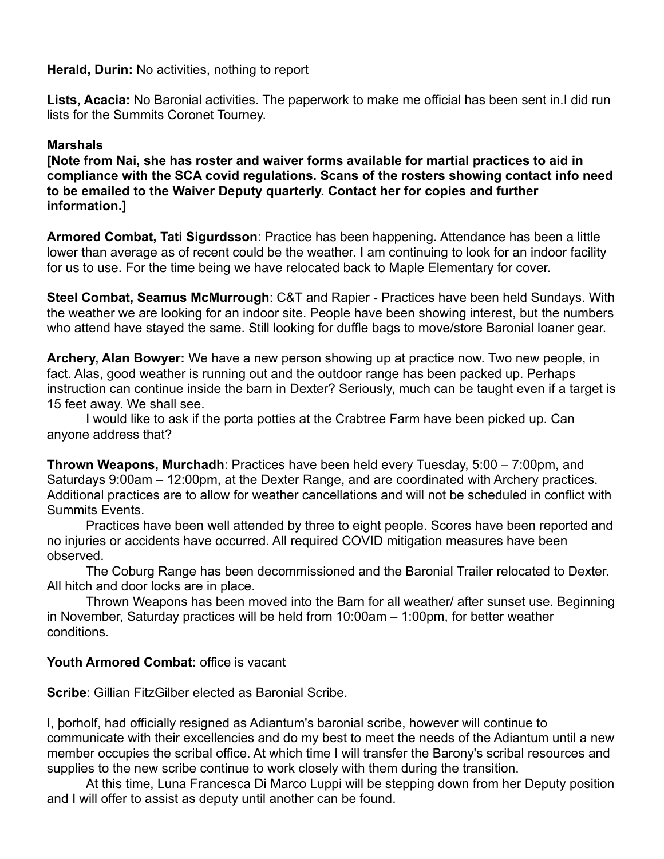**Herald, Durin:** No activities, nothing to report

**Lists, Acacia:** No Baronial activities. The paperwork to make me official has been sent in.I did run lists for the Summits Coronet Tourney.

# **Marshals**

**[Note from Nai, she has roster and waiver forms available for martial practices to aid in compliance with the SCA covid regulations. Scans of the rosters showing contact info need to be emailed to the Waiver Deputy quarterly. Contact her for copies and further information.]**

**Armored Combat, Tati Sigurdsson**: Practice has been happening. Attendance has been a little lower than average as of recent could be the weather. I am continuing to look for an indoor facility for us to use. For the time being we have relocated back to Maple Elementary for cover.

**Steel Combat, Seamus McMurrough**: C&T and Rapier - Practices have been held Sundays. With the weather we are looking for an indoor site. People have been showing interest, but the numbers who attend have stayed the same. Still looking for duffle bags to move/store Baronial loaner gear.

**Archery, Alan Bowyer:** We have a new person showing up at practice now. Two new people, in fact. Alas, good weather is running out and the outdoor range has been packed up. Perhaps instruction can continue inside the barn in Dexter? Seriously, much can be taught even if a target is 15 feet away. We shall see.

I would like to ask if the porta potties at the Crabtree Farm have been picked up. Can anyone address that?

**Thrown Weapons, Murchadh**: Practices have been held every Tuesday, 5:00 – 7:00pm, and Saturdays 9:00am – 12:00pm, at the Dexter Range, and are coordinated with Archery practices. Additional practices are to allow for weather cancellations and will not be scheduled in conflict with Summits Events.

Practices have been well attended by three to eight people. Scores have been reported and no injuries or accidents have occurred. All required COVID mitigation measures have been observed.

The Coburg Range has been decommissioned and the Baronial Trailer relocated to Dexter. All hitch and door locks are in place.

Thrown Weapons has been moved into the Barn for all weather/ after sunset use. Beginning in November, Saturday practices will be held from 10:00am – 1:00pm, for better weather conditions.

# **Youth Armored Combat:** office is vacant

**Scribe**: Gillian FitzGilber elected as Baronial Scribe.

I, þorholf, had officially resigned as Adiantum's baronial scribe, however will continue to communicate with their excellencies and do my best to meet the needs of the Adiantum until a new member occupies the scribal office. At which time I will transfer the Barony's scribal resources and supplies to the new scribe continue to work closely with them during the transition.

At this time, Luna Francesca Di Marco Luppi will be stepping down from her Deputy position and I will offer to assist as deputy until another can be found.